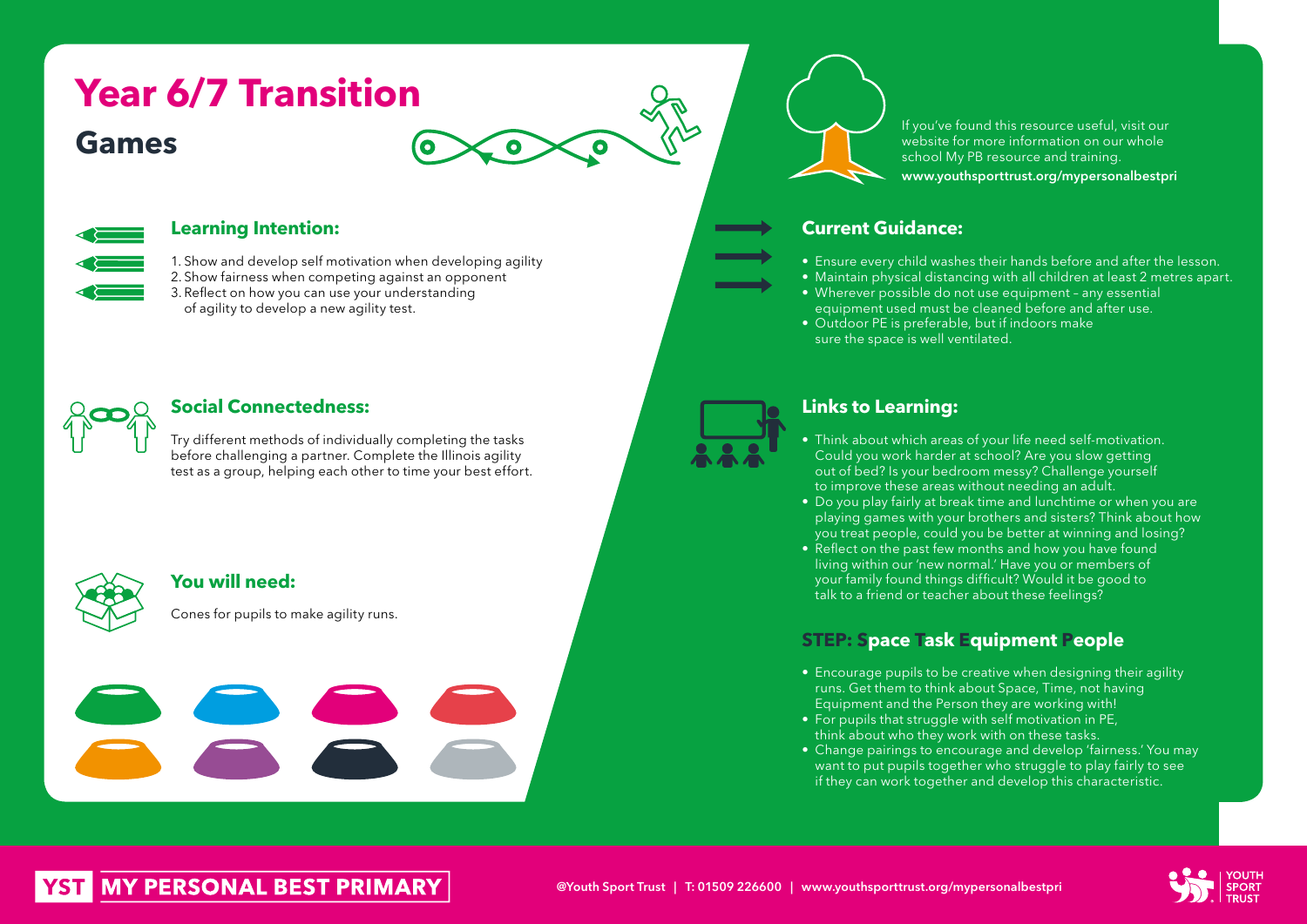# **Games Year 6/7 Transition**





## **Learning Intention:**

1. Show and develop self motivation when developing agility 2. Show fairness when competing against an opponent 3. Reflect on how you can use your understanding of agility to develop a new agility test.



## **Social Connectedness:**

Try different methods of individually completing the tasks before challenging a partner. Complete the Illinois agility test as a group, helping each other to time your best effort.



# **You will need:**

Cones for pupils to make agility runs.

If you've found this resource useful, visit our website for more information on our whole school My PB resource and training. www.youthsporttrust.org/mypersonalbestpri

# **Current Guidance:**

- Ensure every child washes their hands before and after the lesson.
- Maintain physical distancing with all children at least 2 metres apart.
- Wherever possible do not use equipment any essential equipment used must be cleaned before and after use.
- Outdoor PE is preferable, but if indoors make sure the space is well ventilated.



# **Links to Learning:**

- Think about which areas of your life need self-motivation. Could you work harder at school? Are you slow getting out of bed? Is your bedroom messy? Challenge yourself to improve these areas without needing an adult.
- Do you play fairly at break time and lunchtime or when you are playing games with your brothers and sisters? Think about how you treat people, could you be better at winning and losing?
- Reflect on the past few months and how you have found living within our 'new normal.' Have you or members of your family found things difficult? Would it be good to talk to a friend or teacher about these feelings?

# **STEP: Space Task Equipment People**

- Encourage pupils to be creative when designing their agility runs. Get them to think about Space, Time, not having Equipment and the Person they are working with!
- For pupils that struggle with self motivation in PE, think about who they work with on these tasks.
- Change pairings to encourage and develop 'fairness.' You may want to put pupils together who struggle to play fairly to see if they can work together and develop this characteristic.



# **MY PERSONAL BEST PRIMARY**